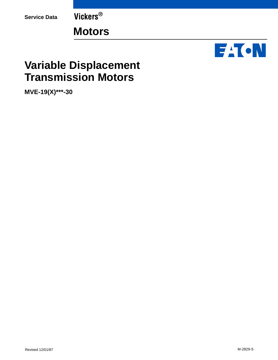**Service Data Vickers®**

**Motors**



## **Variable Displacement Transmission Motors**

**MVE-19(X)\*\*\*-30**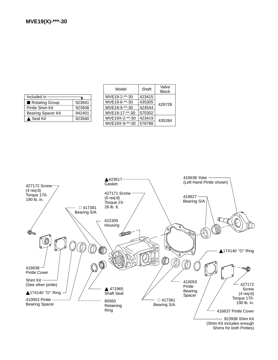| Included in               |        |
|---------------------------|--------|
| Rotating Group            | 923941 |
| Pintle Shim Kit           | 923938 |
| <b>Bearing Spacer Kit</b> | 942401 |
| ▲ Seal Kit                | 923940 |

| Model          | Shaft  | Valve<br><b>Block</b> |
|----------------|--------|-----------------------|
| MVE19-2-**-30  | 423415 | 429728                |
| MVE19-6-**-30  | 435305 |                       |
| MVE19-9-**-30  | 424544 |                       |
| MVE19-17-**-30 | 575302 |                       |
| MVE19X-2-**-30 | 423419 | 435284                |
| MVE19X-9-**-30 | 576788 |                       |

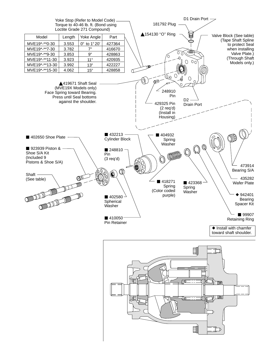